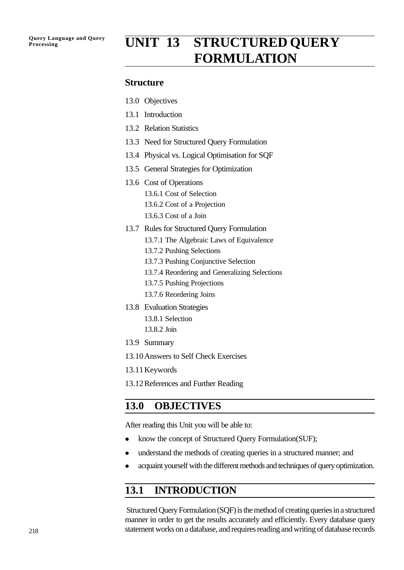# **Processing UNIT 13 STRUCTURED QUERY FORMULATION**

#### **Structure**

- 13.0 Objectives
- 13.1 Introduction
- 13.2 Relation Statistics
- 13.3 Need for Structured Query Formulation
- 13.4 Physical vs. Logical Optimisation for SQF
- 13.5 General Strategies for Optimization
- 13.6 Cost of Operations 13.6.1 Cost of Selection
	- 13.6.2 Cost of a Projection
	- 13.6.3 Cost of a Join
- 13.7 Rules for Structured Query Formulation
	- 13.7.1 The Algebraic Laws of Equivalence
	- 13.7.2 Pushing Selections
	- 13.7.3 Pushing Conjunctive Selection
	- 13.7.4 Reordering and Generalizing Selections
	- 13.7.5 Pushing Projections
	- 13.7.6 Reordering Joins
- 13.8 Evaluation Strategies
	- 13.8.1 Selection 13.8.2 Join
- 13.9 Summary
- 13.10Answers to Self Check Exercises
- 13.11Keywords
- 13.12References and Further Reading

## **13.0 OBJECTIVES**

After reading this Unit you will be able to:

- know the concept of Structured Query Formulation(SUF);
- understand the methods of creating queries in a structured manner; and
- acquaint yourself with the different methods and techniques of query optimization.

## **13.1 INTRODUCTION**

 Structured Query Formulation (SQF) is the method of creating queries in a structured manner in order to get the results accurately and efficiently. Every database query statement works on a database, and requires reading and writing of database records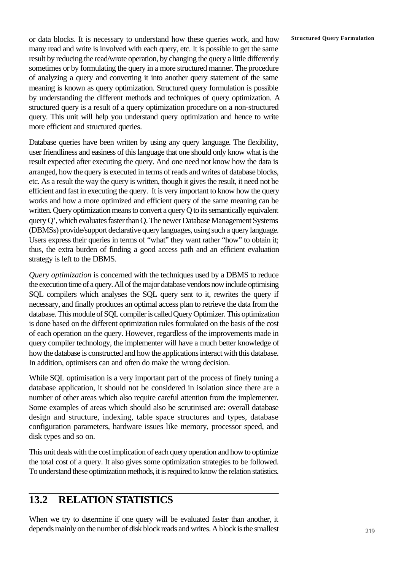or data blocks. It is necessary to understand how these queries work, and how **Structured Query Formulation** many read and write is involved with each query, etc. It is possible to get the same result by reducing the read/wrote operation, by changing the query a little differently sometimes or by formulating the query in a more structured manner. The procedure of analyzing a query and converting it into another query statement of the same meaning is known as query optimization. Structured query formulation is possible by understanding the different methods and techniques of query optimization. A structured query is a result of a query optimization procedure on a non-structured query. This unit will help you understand query optimization and hence to write more efficient and structured queries.

Database queries have been written by using any query language. The flexibility, user friendliness and easiness of this language that one should only know what is the result expected after executing the query. And one need not know how the data is arranged, how the query is executed in terms of reads and writes of database blocks, etc. As a result the way the query is written, though it gives the result, it need not be efficient and fast in executing the query. It is very important to know how the query works and how a more optimized and efficient query of the same meaning can be written. Query optimization means to convert a query Q to its semantically equivalent query Q', which evaluates faster than Q. The newer Database Management Systems (DBMSs) provide/support declarative query languages, using such a query language. Users express their queries in terms of "what" they want rather "how" to obtain it; thus, the extra burden of finding a good access path and an efficient evaluation strategy is left to the DBMS.

*Query optimization* is concerned with the techniques used by a DBMS to reduce the execution time of a query. All of the major database vendors now include optimising SQL compilers which analyses the SQL query sent to it, rewrites the query if necessary, and finally produces an optimal access plan to retrieve the data from the database. This module of SQL compiler is called Query Optimizer. This optimization is done based on the different optimization rules formulated on the basis of the cost of each operation on the query. However, regardless of the improvements made in query compiler technology, the implementer will have a much better knowledge of how the database is constructed and how the applications interact with this database. In addition, optimisers can and often do make the wrong decision.

While SQL optimisation is a very important part of the process of finely tuning a database application, it should not be considered in isolation since there are a number of other areas which also require careful attention from the implementer. Some examples of areas which should also be scrutinised are: overall database design and structure, indexing, table space structures and types, database configuration parameters, hardware issues like memory, processor speed, and disk types and so on.

This unit deals with the cost implication of each query operation and how to optimize the total cost of a query. It also gives some optimization strategies to be followed. To understand these optimization methods, it is required to know the relation statistics.

# **13.2 RELATION STATISTICS**

When we try to determine if one query will be evaluated faster than another, it depends mainly on the number of disk block reads and writes. A block is the smallest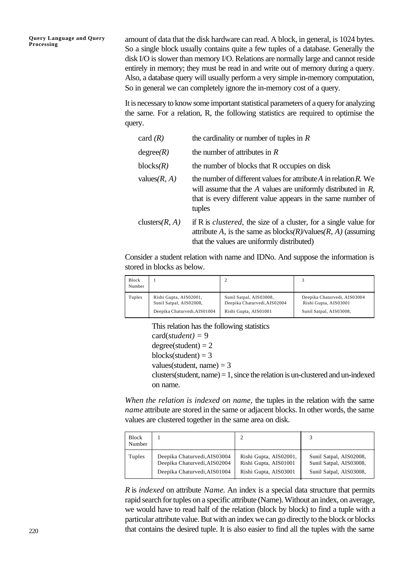amount of data that the disk hardware can read. A block, in general, is 1024 bytes. So a single block usually contains quite a few tuples of a database. Generally the disk I/O is slower than memory I/O. Relations are normally large and cannot reside entirely in memory; they must be read in and write out of memory during a query. Also, a database query will usually perform a very simple in-memory computation, So in general we can completely ignore the in-memory cost of a query.

It is necessary to know some important statistical parameters of a query for analyzing the same. For a relation, R, the following statistics are required to optimise the query.

| card $(R)$        | the cardinality or number of tuples in $R$                                                                                                                                                                         |
|-------------------|--------------------------------------------------------------------------------------------------------------------------------------------------------------------------------------------------------------------|
| degree(R)         | the number of attributes in $R$                                                                                                                                                                                    |
| blocks(R)         | the number of blocks that R occupies on disk                                                                                                                                                                       |
| values $(R, A)$   | the number of different values for attribute A in relation $R$ . We<br>will assume that the $A$ values are uniformly distributed in $R$ ,<br>that is every different value appears in the same number of<br>tuples |
| clusters $(R, A)$ | if R is <i>clustered</i> , the size of a cluster, for a single value for<br>attribute A, is the same as $blocks(R)/values(R, A)$ (assuming<br>that the values are uniformly distributed)                           |

Consider a student relation with name and IDNo. And suppose the information is stored in blocks as below.

| Block<br>Number |                              |                              |                              |
|-----------------|------------------------------|------------------------------|------------------------------|
| Tuples          | Rishi Gupta, AIS02001,       | Sunil Satpal, AIS03008,      | Deepika Chaturvedi, AIS03004 |
|                 | Sunil Satpal, AIS02008,      | Deepika Chaturvedi, AIS02004 | Rishi Gupta, AIS03001        |
|                 | Deepika Chaturvedi, AIS01004 | Rishi Gupta, AIS01001        | Sunil Satpal, AIS03008,      |

This relation has the following statistics

card(*student) =* 9  $degree(student) = 2$ blocks(student) =  $3$ values(student, name)  $= 3$  $clusters (student, name) = 1, since the relation is un-clustered and un-indexed)$ on name.

*When the relation is indexed on name,* the tuples in the relation with the same *name* attribute are stored in the same or adjacent blocks. In other words, the same values are clustered together in the same area on disk.

| <b>Block</b><br>Number |                              |                        | 3                       |
|------------------------|------------------------------|------------------------|-------------------------|
| Tuples                 | Deepika Chaturvedi, AIS03004 | Rishi Gupta, AIS02001, | Sunil Satpal, AIS02008, |
|                        | Deepika Chaturvedi, AIS02004 | Rishi Gupta, AIS01001  | Sunil Satpal, AIS03008, |
|                        | Deepika Chaturvedi, AIS01004 | Rishi Gupta, AIS03001  | Sunil Satpal, AIS03008, |

*R* is *indexed* on attribute *Name*. An index is a special data structure that permits rapid search for tuples on a specific attribute (Name). Without an index, on average, we would have to read half of the relation (block by block) to find a tuple with a particular attribute value. But with an index we can go directly to the block or blocks that contains the desired tuple. It is also easier to find all the tuples with the same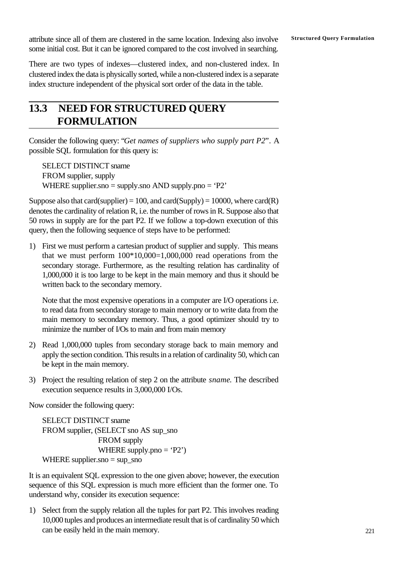**Structured Query Formulation** attribute since all of them are clustered in the same location. Indexing also involve some initial cost. But it can be ignored compared to the cost involved in searching.

There are two types of indexes—clustered index, and non-clustered index. In clustered index the data is physically sorted, while a non-clustered index is a separate index structure independent of the physical sort order of the data in the table.

# **13.3 NEED FOR STRUCTURED QUERY FORMULATION**

Consider the following query: "*Get names of suppliers who supply part P2*". A possible SQL formulation for this query is:

SELECT DISTINCT sname FROM supplier, supply WHERE supplier.sno = supply.sno AND supply.pno =  $P2$ 

Suppose also that card(supplier) = 100, and card(Supply) = 10000, where  $card(R)$ denotes the cardinality of relation R, i.e. the number of rows in R. Suppose also that 50 rows in supply are for the part P2. If we follow a top-down execution of this query, then the following sequence of steps have to be performed:

1) First we must perform a cartesian product of supplier and supply. This means that we must perform  $100*10,000=1,000,000$  read operations from the secondary storage. Furthermore, as the resulting relation has cardinality of 1,000,000 it is too large to be kept in the main memory and thus it should be written back to the secondary memory.

Note that the most expensive operations in a computer are I/O operations i.e. to read data from secondary storage to main memory or to write data from the main memory to secondary memory. Thus, a good optimizer should try to minimize the number of I/Os to main and from main memory

- 2) Read 1,000,000 tuples from secondary storage back to main memory and apply the section condition. This results in a relation of cardinality 50, which can be kept in the main memory.
- 3) Project the resulting relation of step 2 on the attribute *sname*. The described execution sequence results in 3,000,000 I/Os.

Now consider the following query:

SELECT DISTINCT sname FROM supplier, (SELECT sno AS sup\_sno FROM supply WHERE supply.pno  $=$  'P2') WHERE supplier.sno  $=$  sup\_sno

It is an equivalent SQL expression to the one given above; however, the execution sequence of this SQL expression is much more efficient than the former one. To understand why, consider its execution sequence:

1) Select from the supply relation all the tuples for part P2. This involves reading 10,000 tuples and produces an intermediate result that is of cardinality 50 which can be easily held in the main memory.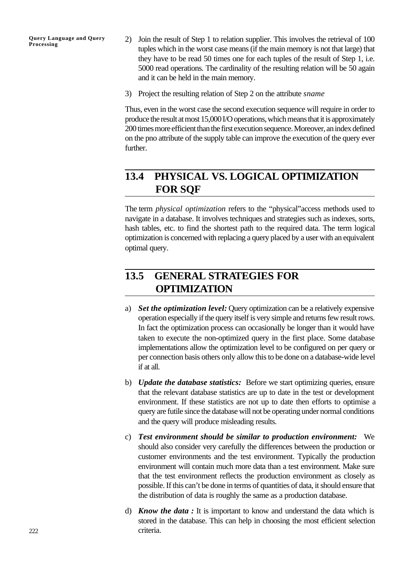- 2) Join the result of Step 1 to relation supplier. This involves the retrieval of 100 tuples which in the worst case means (if the main memory is not that large) that they have to be read 50 times one for each tuples of the result of Step 1, i.e. 5000 read operations. The cardinality of the resulting relation will be 50 again and it can be held in the main memory.
- 3) Project the resulting relation of Step 2 on the attribute *sname*

Thus, even in the worst case the second execution sequence will require in order to produce the result at most 15,000 I/O operations, which means that it is approximately 200 times more efficient than the first execution sequence. Moreover, an index defined on the pno attribute of the supply table can improve the execution of the query ever further.

# **13.4 PHYSICAL VS. LOGICAL OPTIMIZATION FOR SQF**

The term *physical optimization* refers to the "physical"access methods used to navigate in a database. It involves techniques and strategies such as indexes, sorts, hash tables, etc. to find the shortest path to the required data. The term logical optimization is concerned with replacing a query placed by a user with an equivalent optimal query.

# **13.5 GENERAL STRATEGIES FOR OPTIMIZATION**

- a) *Set the optimization level:* Query optimization can be a relatively expensive operation especially if the query itself is very simple and returns few result rows. In fact the optimization process can occasionally be longer than it would have taken to execute the non-optimized query in the first place. Some database implementations allow the optimization level to be configured on per query or per connection basis others only allow this to be done on a database-wide level if at all.
- b) *Update the database statistics:* Before we start optimizing queries, ensure that the relevant database statistics are up to date in the test or development environment. If these statistics are not up to date then efforts to optimise a query are futile since the database will not be operating under normal conditions and the query will produce misleading results.
- c) *Test environment should be similar to production environment:* We should also consider very carefully the differences between the production or customer environments and the test environment. Typically the production environment will contain much more data than a test environment. Make sure that the test environment reflects the production environment as closely as possible. If this can't be done in terms of quantities of data, it should ensure that the distribution of data is roughly the same as a production database.
- d) *Know the data :* It is important to know and understand the data which is stored in the database. This can help in choosing the most efficient selection criteria.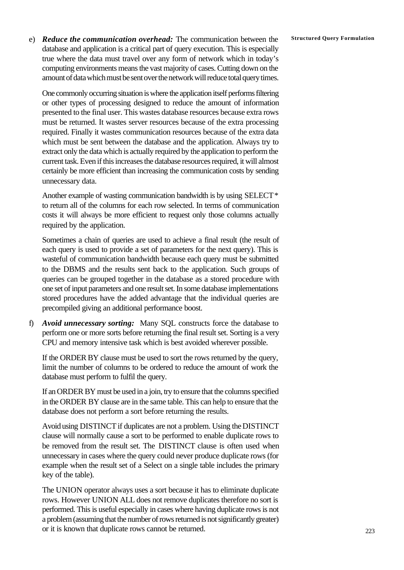**E)** *Reduce the communication overhead:* The communication between the Structured Query Formulation database and application is a critical part of query execution. This is especially true where the data must travel over any form of network which in today's computing environments means the vast majority of cases. Cutting down on the amount of data which must be sent over the network will reduce total query times.

One commonly occurring situation is where the application itself performs filtering or other types of processing designed to reduce the amount of information presented to the final user. This wastes database resources because extra rows must be returned. It wastes server resources because of the extra processing required. Finally it wastes communication resources because of the extra data which must be sent between the database and the application. Always try to extract only the data which is actually required by the application to perform the current task. Even if this increases the database resources required, it will almost certainly be more efficient than increasing the communication costs by sending unnecessary data.

Another example of wasting communication bandwidth is by using SELECT \* to return all of the columns for each row selected. In terms of communication costs it will always be more efficient to request only those columns actually required by the application.

Sometimes a chain of queries are used to achieve a final result (the result of each query is used to provide a set of parameters for the next query). This is wasteful of communication bandwidth because each query must be submitted to the DBMS and the results sent back to the application. Such groups of queries can be grouped together in the database as a stored procedure with one set of input parameters and one result set. In some database implementations stored procedures have the added advantage that the individual queries are precompiled giving an additional performance boost.

f) *Avoid unnecessary sorting:* Many SQL constructs force the database to perform one or more sorts before returning the final result set. Sorting is a very CPU and memory intensive task which is best avoided wherever possible.

If the ORDER BY clause must be used to sort the rows returned by the query, limit the number of columns to be ordered to reduce the amount of work the database must perform to fulfil the query.

If an ORDER BY must be used in a join, try to ensure that the columns specified in the ORDER BY clause are in the same table. This can help to ensure that the database does not perform a sort before returning the results.

Avoid using DISTINCT if duplicates are not a problem. Using the DISTINCT clause will normally cause a sort to be performed to enable duplicate rows to be removed from the result set. The DISTINCT clause is often used when unnecessary in cases where the query could never produce duplicate rows (for example when the result set of a Select on a single table includes the primary key of the table).

The UNION operator always uses a sort because it has to eliminate duplicate rows. However UNION ALL does not remove duplicates therefore no sort is performed. This is useful especially in cases where having duplicate rows is not a problem (assuming that the number of rows returned is not significantly greater) or it is known that duplicate rows cannot be returned.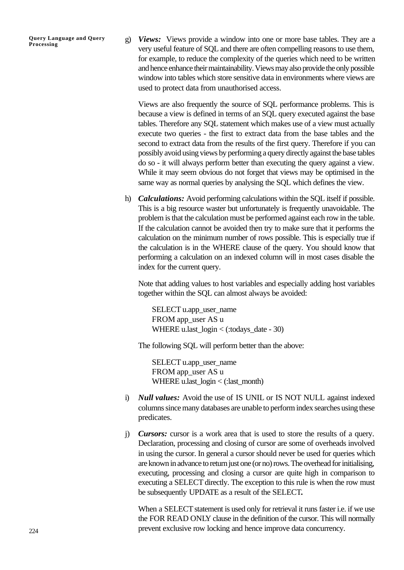g) *Views:* Views provide a window into one or more base tables. They are a very useful feature of SQL and there are often compelling reasons to use them, for example, to reduce the complexity of the queries which need to be written and hence enhance their maintainability. Views may also provide the only possible window into tables which store sensitive data in environments where views are used to protect data from unauthorised access.

Views are also frequently the source of SQL performance problems. This is because a view is defined in terms of an SQL query executed against the base tables. Therefore any SQL statement which makes use of a view must actually execute two queries - the first to extract data from the base tables and the second to extract data from the results of the first query. Therefore if you can possibly avoid using views by performing a query directly against the base tables do so - it will always perform better than executing the query against a view. While it may seem obvious do not forget that views may be optimised in the same way as normal queries by analysing the SQL which defines the view.

h) *Calculations:* Avoid performing calculations within the SQL itself if possible. This is a big resource waster but unfortunately is frequently unavoidable. The problem is that the calculation must be performed against each row in the table. If the calculation cannot be avoided then try to make sure that it performs the calculation on the minimum number of rows possible. This is especially true if the calculation is in the WHERE clause of the query. You should know that performing a calculation on an indexed column will in most cases disable the index for the current query.

Note that adding values to host variables and especially adding host variables together within the SQL can almost always be avoided:

SELECT u.app\_user\_name FROM app\_user AS u WHERE u.last\_login < (:todays\_date - 30)

The following SQL will perform better than the above:

SELECT u.app\_user\_name FROM app\_user AS u WHERE u.last  $login < ($ :last month)

- i) *Null values:* Avoid the use of IS UNIL or IS NOT NULL against indexed columns since many databases are unable to perform index searches using these predicates.
- j) *Cursors:* cursor is a work area that is used to store the results of a query. Declaration, processing and closing of cursor are some of overheads involved in using the cursor. In general a cursor should never be used for queries which are known in advance to return just one (or no) rows. The overhead for initialising, executing, processing and closing a cursor are quite high in comparison to executing a SELECT directly. The exception to this rule is when the row must be subsequently UPDATE as a result of the SELECT**.**

When a SELECT statement is used only for retrieval it runs faster i.e. if we use the FOR READ ONLY clause in the definition of the cursor. This will normally prevent exclusive row locking and hence improve data concurrency.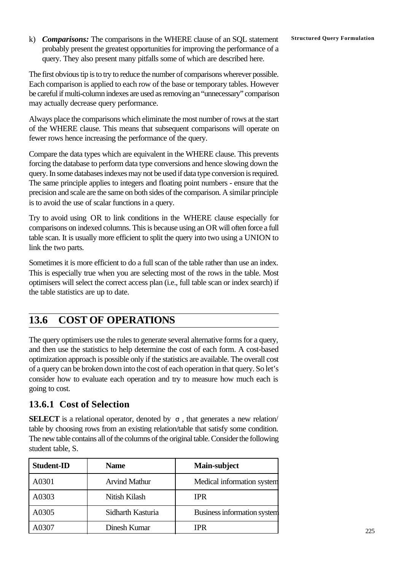k) **Comparisons:** The comparisons in the WHERE clause of an SQL statement Structured Query Formulation probably present the greatest opportunities for improving the performance of a query. They also present many pitfalls some of which are described here.

The first obvious tip is to try to reduce the number of comparisons wherever possible. Each comparison is applied to each row of the base or temporary tables. However be careful if multi-column indexes are used as removing an "unnecessary" comparison may actually decrease query performance.

Always place the comparisons which eliminate the most number of rows at the start of the WHERE clause. This means that subsequent comparisons will operate on fewer rows hence increasing the performance of the query.

Compare the data types which are equivalent in the WHERE clause. This prevents forcing the database to perform data type conversions and hence slowing down the query. In some databases indexes may not be used if data type conversion is required. The same principle applies to integers and floating point numbers - ensure that the precision and scale are the same on both sides of the comparison. A similar principle is to avoid the use of scalar functions in a query.

Try to avoid using OR to link conditions in the WHERE clause especially for comparisons on indexed columns. This is because using an OR will often force a full table scan. It is usually more efficient to split the query into two using a UNION to link the two parts.

Sometimes it is more efficient to do a full scan of the table rather than use an index. This is especially true when you are selecting most of the rows in the table. Most optimisers will select the correct access plan (i.e., full table scan or index search) if the table statistics are up to date.

# **13.6 COST OF OPERATIONS**

The query optimisers use the rules to generate several alternative forms for a query, and then use the statistics to help determine the cost of each form. A cost-based optimization approach is possible only if the statistics are available. The overall cost of a query can be broken down into the cost of each operation in that query. So let's consider how to evaluate each operation and try to measure how much each is going to cost.

# **13.6.1 Cost of Selection**

**SELECT** is a relational operator, denoted by *s* , that generates a new relation/ table by choosing rows from an existing relation/table that satisfy some condition. The new table contains all of the columns of the original table. Consider the following student table, S.

| <b>Student-ID</b> | <b>Name</b>          | Main-subject                |
|-------------------|----------------------|-----------------------------|
| A0301             | <b>Arvind Mathur</b> | Medical information system  |
| A0303             | Nitish Kilash        | <b>IPR</b>                  |
| A0305             | Sidharth Kasturia    | Business information system |
| A0307             | Dinesh Kumar         | <b>IPR</b>                  |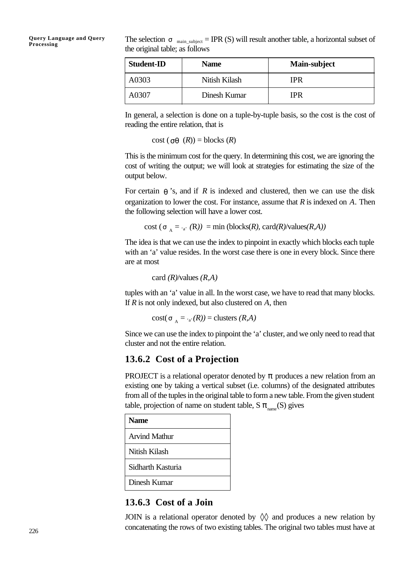The selection  $s_{\text{main\_subject}} = \text{IPR}$  (S) will result another table, a horizontal subset of the original table; as follows

| <b>Student-ID</b> | <b>Name</b>   | Main-subject |
|-------------------|---------------|--------------|
| A0303             | Nitish Kilash | IPR          |
| A0307             | Dinesh Kumar  | IPR          |

In general, a selection is done on a tuple-by-tuple basis, so the cost is the cost of reading the entire relation, that is

 $cost$  ( $sg$  ( $R$ )) = blocks ( $R$ )

This is the minimum cost for the query. In determining this cost, we are ignoring the cost of writing the output; we will look at strategies for estimating the size of the output below.

For certain  $q$  's, and if *R* is indexed and clustered, then we can use the disk organization to lower the cost. For instance, assume that *R* is indexed on *A*. Then the following selection will have a lower cost.

 $cost(s_A = \frac{1}{A} \cdot (R)) = min (blocks(R), card(R)/values(R,A))$ 

The idea is that we can use the index to pinpoint in exactly which blocks each tuple with an 'a' value resides. In the worst case there is one in every block. Since there are at most

card *(R)*/values *(R,A)*

tuples with an 'a' value in all. In the worst case, we have to read that many blocks. If *R* is not only indexed, but also clustered on *A*, then

```
cost(\mathbf{s}_A = \mathbf{a} \cdot (\mathbf{R})) = \text{clusters } (\mathbf{R}, \mathbf{A})
```
Since we can use the index to pinpoint the 'a' cluster, and we only need to read that cluster and not the entire relation.

### **13.6.2 Cost of a Projection**

PROJECT is a relational operator denoted by  $\pi$  produces a new relation from an existing one by taking a vertical subset (i.e. columns) of the designated attributes from all of the tuples in the original table to form a new table. From the given student table, projection of name on student table, S  $\pi_{\text{\tiny name}}(\text{S})$  gives

| <b>Name</b>          |
|----------------------|
| <b>Arvind Mathur</b> |
| Nitish Kilash        |
| Sidharth Kasturia    |
| Dinesh Kumar         |

### **13.6.3 Cost of a Join**

JOIN is a relational operator denoted by  $\Diamond \Diamond$  and produces a new relation by concatenating the rows of two existing tables. The original two tables must have at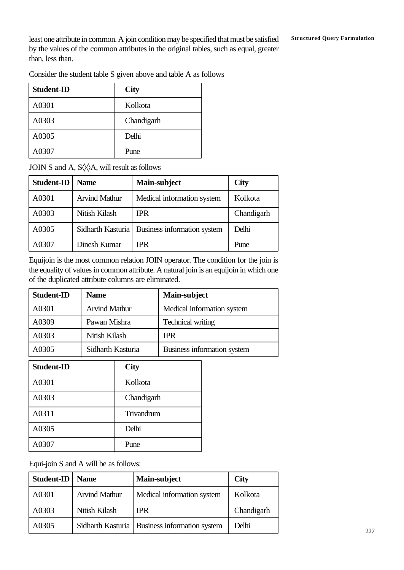least one attribute in common. A join condition may be specified that must be satisfied Structured Query Formulation by the values of the common attributes in the original tables, such as equal, greater than, less than.

Consider the student table S given above and table A as follows

| <b>Student-ID</b> | <b>City</b> |
|-------------------|-------------|
| A0301             | Kolkota     |
| A0303             | Chandigarh  |
| A0305             | Delhi       |
| A0307             | Pune        |

JOIN S and A, S◊◊A, will result as follows

| <b>Student-ID</b> | <b>Name</b>          | Main-subject                                    | <b>City</b> |
|-------------------|----------------------|-------------------------------------------------|-------------|
| A0301             | <b>Arvind Mathur</b> | Medical information system                      | Kolkota     |
| A0303             | Nitish Kilash        | <b>IPR</b>                                      | Chandigarh  |
| A0305             |                      | Sidharth Kasturia   Business information system | Delhi       |
| A0307             | Dinesh Kumar         | <b>IPR</b>                                      | Pune        |

Equijoin is the most common relation JOIN operator. The condition for the join is the equality of values in common attribute. A natural join is an equijoin in which one of the duplicated attribute columns are eliminated.

| <b>Student-ID</b> | <b>Name</b>          | Main-subject                |
|-------------------|----------------------|-----------------------------|
| A0301             | <b>Arvind Mathur</b> | Medical information system  |
| A0309             | Pawan Mishra         | <b>Technical writing</b>    |
| A0303             | Nitish Kilash        | <b>IPR</b>                  |
| A0305             | Sidharth Kasturia    | Business information system |

| <b>Student-ID</b> | <b>City</b> |
|-------------------|-------------|
| A0301             | Kolkota     |
| A0303             | Chandigarh  |
| A0311             | Trivandrum  |
| A0305             | Delhi       |
| A0307             | Pune        |

Equi-join S and A will be as follows:

| Student-ID | <b>Name</b>          | Main-subject                                    | <b>City</b> |
|------------|----------------------|-------------------------------------------------|-------------|
| A0301      | <b>Arvind Mathur</b> | Medical information system                      | Kolkota     |
| A0303      | Nitish Kilash        | <b>IPR</b>                                      | Chandigarh  |
| A0305      |                      | Sidharth Kasturia   Business information system | Delhi       |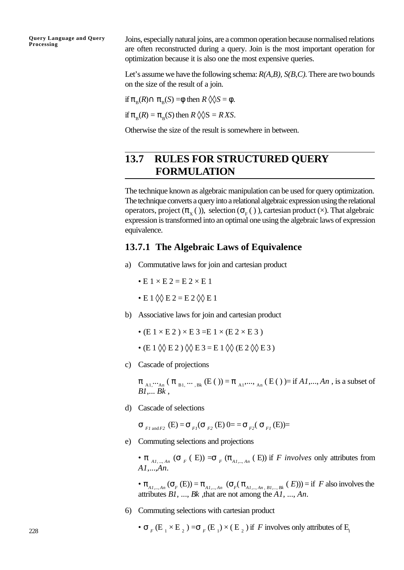Joins, especially natural joins, are a common operation because normalised relations are often reconstructed during a query. Join is the most important operation for optimization because it is also one the most expensive queries.

Let's assume we have the following schema: *R(A,B), S(B,C).* There are two bounds on the size of the result of a join.

if  $\pi_{\mathcal{B}}(R) \cap \pi_{\mathcal{B}}(S) = \phi$  then  $R \lozenge S = \phi$ .

if  $\pi_{\rm B}(R) = \pi_{\rm B}(S)$  then  $R \, \lozenge \, \lozenge S = R \, XS$ .

Otherwise the size of the result is somewhere in between.

# **13.7 RULES FOR STRUCTURED QUERY FORMULATION**

The technique known as algebraic manipulation can be used for query optimization. The technique converts a query into a relational algebraic expression using the relational operators, project  $(\pi_X^{-})$ , selection  $(\sigma_F^{-})$ , cartesian product  $(\times)$ . That algebraic expression is transformed into an optimal one using the algebraic laws of expression equivalence.

#### **13.7.1 The Algebraic Laws of Equivalence**

- a) Commutative laws for join and cartesian product
	- $\bullet$  E 1  $\times$  E 2 = E 2  $\times$  E 1
	- $\cdot$  E 1  $\lozenge$  E 2 = E 2  $\lozenge$  E 1
- b) Associative laws for join and cartesian product
	- $\bullet$  (E 1  $\times$  E 2 )  $\times$  E 3 = E 1  $\times$  (E 2  $\times$  E 3)
	- $\bullet$  (E 1  $\lozenge \lozenge$  E 2 )  $\lozenge \lozenge$  E 3 = E 1  $\lozenge \lozenge$  (E 2  $\lozenge \lozenge$  E 3 )
- c) Cascade of projections

 $\pi_{A_1,\dots, A_n}$  ( $\pi_{B_1,\dots, B_k}$  (E ( )) =  $\pi_{A_1,\dots, A_n}$  (E ( ) )= if *A1*,..., *An*, is a subset of *B1*,... *Bk* ,

d) Cascade of selections

 $\sigma$ <sub>*Fl*and *F2*</sub> (E) =  $\sigma$ <sub>*F1*</sub>( $\sigma$ <sub>*F2</sub>*(E) 0= =  $\sigma$ <sub>*F<sub>2</sub></sub>*( $\sigma$ <sub>*F1*</sub>(E))=</sub></sub>

e) Commuting selections and projections

•  $\pi$ <sub>Al, ..., An</sub> ( $\sigma$ <sub>F</sub> (E)) =  $\sigma$ <sub>F</sub> ( $\pi$ <sub>Al, ..., An</sub> (E)) if *F* involves only attributes from *A1*,...,*An*.

 $\bullet$   $\pi_{A_{I,\dots,A_n}}(\sigma_F(E)) = \pi_{A_{I,\dots,A_n}}(\sigma_F(\pi_{A_{I,\dots,A_n,B_{I,\dots,B_k}}(E))) = \text{if } F \text{ also involves the }$ attributes *B1*, ..., *Bk* ,that are not among the *A1*, ..., *An*.

- 6) Commuting selections with cartesian product
	- $\sigma$ <sub>F</sub>(E<sub>1</sub> × E<sub>2</sub>) =  $\sigma$ <sub>F</sub>(E<sub>1</sub>) × (E<sub>2</sub>) if *F* involves only attributes of E<sub>1</sub>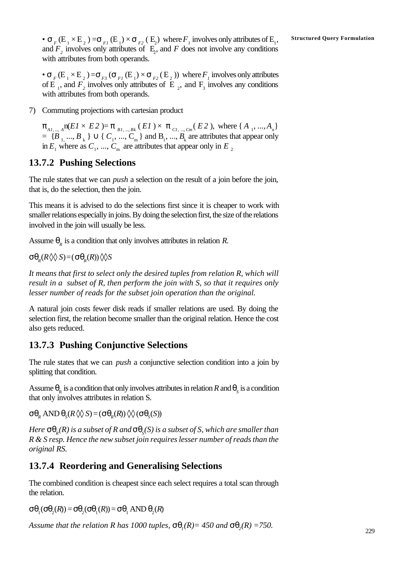$\bullet$   $\sigma$   $_{F}$  (E  $_{1}\times$  E  $_{2}$  )  $=\sigma$   $_{F1}$  (E  $_{1})\times\sigma$   $_{F2}$  ( E  $_{2})$  where  $F$   $_{I}$  involves only attributes of E  $_{1},$  Structured Query Formulation and  $F_2$  involves only attributes of  $E_2$ , and  $F$  does not involve any conditions with attributes from both operands.

 $\bullet$   $\sigma$ <sub>F</sub>(E<sub>1</sub>  $\times$  E<sub>2</sub>) = $\sigma$ <sub>F3</sub>( $\sigma$ <sub>F1</sub>(E<sub>1</sub>)  $\times$   $\sigma$ <sub>F2</sub>(E<sub>2</sub>)) where  $F$ <sub>*I*</sub> involves only attributes of E<sub>1</sub>, and  $F_2$  involves only attributes of E<sub>2</sub>, and F<sub>3</sub> involves any conditions with attributes from both operands.

7) Commuting projections with cartesian product

 $\pi_{A_1,\dots,A}$  n(*E1* × *E2* )=  $\pi_{B_1,\dots,B_k}$  (*E1* ) ×  $\pi_{C_1,\dots,C_m}$  (*E2* ), where {  $A_1, ..., A_n$ }  $= {B_{1},..., B_{k}} \cup {C_{1},..., C_{m}}$  and  $B_{1},..., B_{k}$  are attributes that appear only in  $E_1$  where as  $C_1$ , ...,  $C_m$  are attributes that appear only in  $E_2$ 

#### **13.7.2 Pushing Selections**

The rule states that we can *push* a selection on the result of a join before the join, that is, do the selection, then the join.

This means it is advised to do the selections first since it is cheaper to work with smaller relations especially in joins. By doing the selection first, the size of the relations involved in the join will usually be less.

Assume  $\theta_R$  is a condition that only involves attributes in relation *R*.

 $\sigma \theta_R(R \lozenge \lozenge S) = (\sigma \theta_R(R)) \lozenge S$ 

*It means that first to select only the desired tuples from relation R, which will result in a subset of R, then perform the join with S, so that it requires only lesser number of reads for the subset join operation than the original.*

A natural join costs fewer disk reads if smaller relations are used. By doing the selection first, the relation become smaller than the original relation. Hence the cost also gets reduced.

#### **13.7.3 Pushing Conjunctive Selections**

The rule states that we can *push* a conjunctive selection condition into a join by splitting that condition.

Assume  $\theta_R$  is a condition that only involves attributes in relation *R* and  $\theta_S$  is a condition that only involves attributes in relation S.

 $\sigma \theta_R$  AND  $\theta_S$ (*R*  $\heartsuit$ *S*) = ( $\sigma \theta_R$ (*R*))  $\lozenge \lozenge$  ( $\sigma \theta_S(S)$ )

*Here sq<sup>R</sup> (R) is a subset of R and sq<sup>S</sup> (S) is a subset of S, which are smaller than R & S resp. Hence the new subset join requires lesser number of reads than the original RS.*

#### **13.7.4 Reordering and Generalising Selections**

The combined condition is cheapest since each select requires a total scan through the relation.

 $\sigma \theta_1(\sigma \theta_2(R)) = \sigma \theta_2(\sigma \theta_1(R)) = \sigma \theta_1$  AND  $\theta_2(R)$ 

*Assume that the relation R has 1000 tuples,*  $sq_i(R) = 450$  *and*  $sq_i(R) = 750$ *.*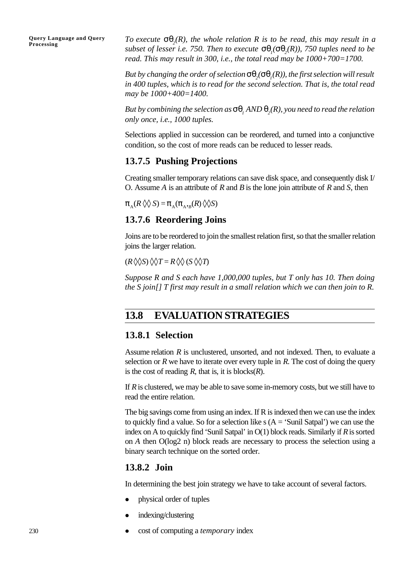*To execute sq<sup>2</sup> (R), the whole relation R is to be read, this may result in a subset of lesser i.e.* 750. Then to execute  $sq_i(sq_2(R))$ , 750 tuples need to be *read. This may result in 300, i.e., the total read may be 1000+700=1700.*

 ${\boldsymbol{B}}$ ut by changing the order of selection  ${\boldsymbol{sq}}_2({\boldsymbol{sq}}_l(R))$ , the first selection will result *in 400 tuples, which is to read for the second selection. That is, the total read may be 1000+400=1400.*

*But by combining the selection as sq<sup>1</sup> AND q<sup>2</sup> (R), you need to read the relation only once, i.e., 1000 tuples.*

Selections applied in succession can be reordered, and turned into a conjunctive condition, so the cost of more reads can be reduced to lesser reads.

### **13.7.5 Pushing Projections**

Creating smaller temporary relations can save disk space, and consequently disk I/ O. Assume *A* is an attribute of *R* and *B* is the lone join attribute of *R* and *S*, then

 $\pi_A(R \otimes S) = \pi_A(\pi_A, B \otimes S)$ 

### **13.7.6 Reordering Joins**

Joins are to be reordered to join the smallest relation first, so that the smaller relation joins the larger relation.

 $(R \lozenge \lozenge S) \lozenge \lozenge T = R \lozenge \lozenge (S \lozenge \lozenge T)$ 

*Suppose R and S each have 1,000,000 tuples, but T only has 10. Then doing the S join[] T first may result in a small relation which we can then join to R.*

### **13.8 EVALUATION STRATEGIES**

### **13.8.1 Selection**

Assume relation *R* is unclustered, unsorted, and not indexed. Then, to evaluate a selection or  $R$  we have to iterate over every tuple in  $R$ . The cost of doing the query is the cost of reading  $R$ , that is, it is blocks $(R)$ .

If *R* is clustered, we may be able to save some in-memory costs, but we still have to read the entire relation.

The big savings come from using an index. If R is indexed then we can use the index to quickly find a value. So for a selection like  $s(A = 'Sunil Satpal')$  we can use the index on A to quickly find 'Sunil Satpal' in O(1) block reads. Similarly if *R* is sorted on *A* then O(log2 n) block reads are necessary to process the selection using a binary search technique on the sorted order.

### **13.8.2 Join**

In determining the best join strategy we have to take account of several factors.

- physical order of tuples
- indexing/clustering
- <sup>l</sup> cost of computing a *temporary* index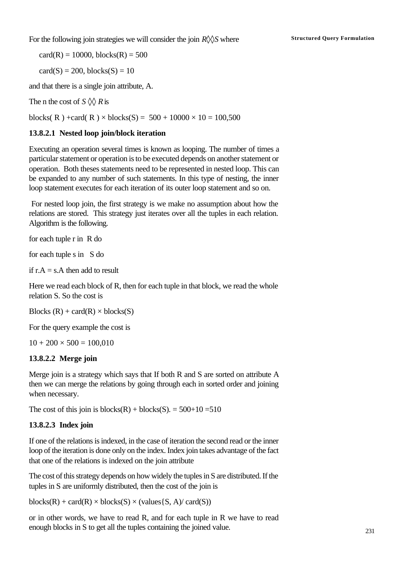For the following join strategies we will consider the join  $R\Diamond\Diamond S$  where **Structured Query Formulation** 

 $card(R) = 10000$ , blocks $(R) = 500$ 

 $card(S) = 200$ , blocks $(S) = 10$ 

and that there is a single join attribute, A.

The n the cost of  $S \Diamond Q$  *R* is

blocks(R) +card(R) × blocks(S) =  $500 + 10000 \times 10 = 100,500$ 

#### **13.8.2.1 Nested loop join/block iteration**

Executing an operation several times is known as looping. The number of times a particular statement or operation is to be executed depends on another statement or operation. Both theses statements need to be represented in nested loop. This can be expanded to any number of such statements. In this type of nesting, the inner loop statement executes for each iteration of its outer loop statement and so on.

 For nested loop join, the first strategy is we make no assumption about how the relations are stored. This strategy just iterates over all the tuples in each relation. Algorithm is the following.

for each tuple r in R do

for each tuple s in S do

if  $r.A = s.A$  then add to result

Here we read each block of R, then for each tuple in that block, we read the whole relation S. So the cost is

Blocks  $(R)$  + card $(R)$  × blocks $(S)$ 

For the query example the cost is

 $10 + 200 \times 500 = 100,010$ 

#### **13.8.2.2 Merge join**

Merge join is a strategy which says that If both R and S are sorted on attribute A then we can merge the relations by going through each in sorted order and joining when necessary.

The cost of this join is blocks $(R)$  + blocks $(S)$ . = 500+10 = 510

#### **13.8.2.3 Index join**

If one of the relations is indexed, in the case of iteration the second read or the inner loop of the iteration is done only on the index. Index join takes advantage of the fact that one of the relations is indexed on the join attribute

The cost of this strategy depends on how widely the tuples in S are distributed. If the tuples in S are uniformly distributed, then the cost of the join is

 $blocks(R) + card(R) \times blocks(S) \times (values\{S, A\}/ card(S))$ 

or in other words, we have to read R, and for each tuple in R we have to read enough blocks in S to get all the tuples containing the joined value.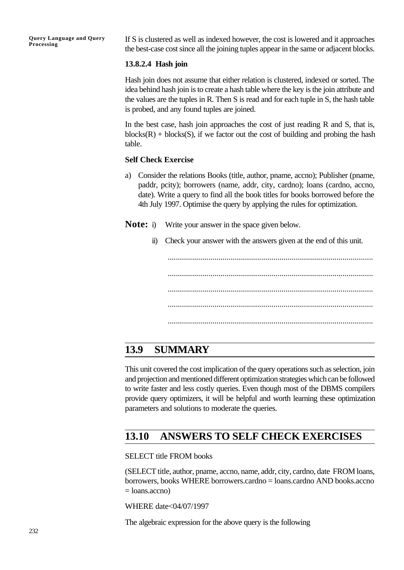If S is clustered as well as indexed however, the cost is lowered and it approaches the best-case cost since all the joining tuples appear in the same or adjacent blocks.

#### **13.8.2.4 Hash join**

Hash join does not assume that either relation is clustered, indexed or sorted. The idea behind hash join is to create a hash table where the key is the join attribute and the values are the tuples in R. Then S is read and for each tuple in S, the hash table is probed, and any found tuples are joined.

In the best case, hash join approaches the cost of just reading R and S, that is,  $blocks(R) + blocks(S)$ , if we factor out the cost of building and probing the hash table.

#### **Self Check Exercise**

- a) Consider the relations Books (title, author, pname, accno); Publisher (pname, paddr, pcity); borrowers (name, addr, city, cardno); loans (cardno, accno, date). Write a query to find all the book titles for books borrowed before the 4th July 1997. Optimise the query by applying the rules for optimization.
- **Note:** i) Write your answer in the space given below.
	- ii) Check your answer with the answers given at the end of this unit.

..................................................................................................... ..................................................................................................... ..................................................................................................... ..................................................................................................... .....................................................................................................

# **13.9 SUMMARY**

This unit covered the cost implication of the query operations such as selection, join and projection and mentioned different optimization strategies which can be followed to write faster and less costly queries. Even though most of the DBMS compilers provide query optimizers, it will be helpful and worth learning these optimization parameters and solutions to moderate the queries.

# **13.10 ANSWERS TO SELF CHECK EXERCISES**

SELECT title FROM books

(SELECT title, author, pname, accno, name, addr, city, cardno, date FROM loans, borrowers, books WHERE borrowers.cardno = loans.cardno AND books.accno  $=$  loans.accno)

WHERE date<04/07/1997

The algebraic expression for the above query is the following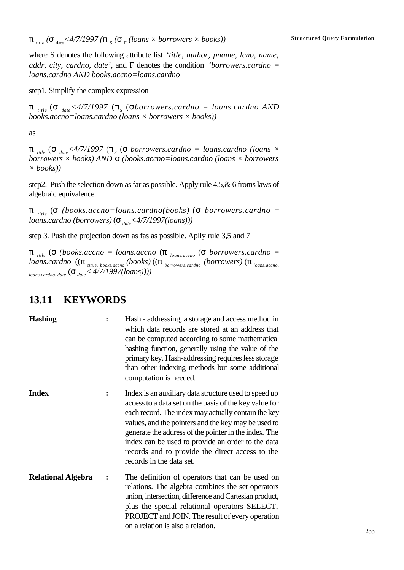$\bm{p}_{\rm title}$  ( $\bm{s}_{\rm date}$ <4/7/1997 ( $\bm{p}_{\rm s}$  ( $\bm{s}_{\rm F}$  (loans  $\times$  borrowers  $\times$  books)) structured Query Formulation

where S denotes the following attribute list *'title, author, pname, lcno, name, addr, city, cardno, date'*, and F denotes the condition *'borrowers.cardno = loans.cardno AND books.accno=loans.cardno*

step1. Simplify the complex expression

 $π$ <sub>title</sub> (σ<sub>date</sub><4/7/1997 (π<sub>S</sub> (σborrowers.cardno = loans.cardno AND *books.accno=loans.cardno (loans × borrowers × books))*

as

 $π$ <sub>title</sub> (σ<sub>date</sub><4/7/1997 (π<sub>s</sub> (σ borrowers.cardno = loans.cardno (loans × *borrowers × books) AND s (books.accno=loans.cardno (loans × borrowers × books))*

step2. Push the selection down as far as possible. Apply rule 4,5,& 6 froms laws of algebraic equivalence.

π *title* (σ *(books.accno=loans.cardno(books)* (σ *borrowers.cardno = loans.cardno (borrowers)* (σ<sub>*date</sub><4/7/1997(loans))*)</sub>

step 3. Push the projection down as fas as possible. Aplly rule 3,5 and 7

π *title* (σ *(books.accno = loans.accno* (π *loans.accno* (σ *borrowers.cardno = loans.cardno* ((π *titile, books.accno (books)* ((π *borrowers.cardno (borrowers)* (π *loans.accno, loans.cardno, date* (σ *date< 4/7/1997(loans))))*

### **13.11 KEYWORDS**

| <b>Hashing</b>            | ፡              | Hash - addressing, a storage and access method in<br>which data records are stored at an address that<br>can be computed according to some mathematical<br>hashing function, generally using the value of the<br>primary key. Hash-addressing requires less storage<br>than other indexing methods but some additional<br>computation is needed.                                                                           |
|---------------------------|----------------|----------------------------------------------------------------------------------------------------------------------------------------------------------------------------------------------------------------------------------------------------------------------------------------------------------------------------------------------------------------------------------------------------------------------------|
| <b>Index</b>              | $\ddot{\cdot}$ | Index is an auxiliary data structure used to speed up<br>access to a data set on the basis of the key value for<br>each record. The index may actually contain the key<br>values, and the pointers and the key may be used to<br>generate the address of the pointer in the index. The<br>index can be used to provide an order to the data<br>records and to provide the direct access to the<br>records in the data set. |
| <b>Relational Algebra</b> |                | The definition of operators that can be used on<br>relations. The algebra combines the set operators<br>union, intersection, difference and Cartesian product,<br>plus the special relational operators SELECT,<br>PROJECT and JOIN. The result of every operation<br>on a relation is also a relation.                                                                                                                    |